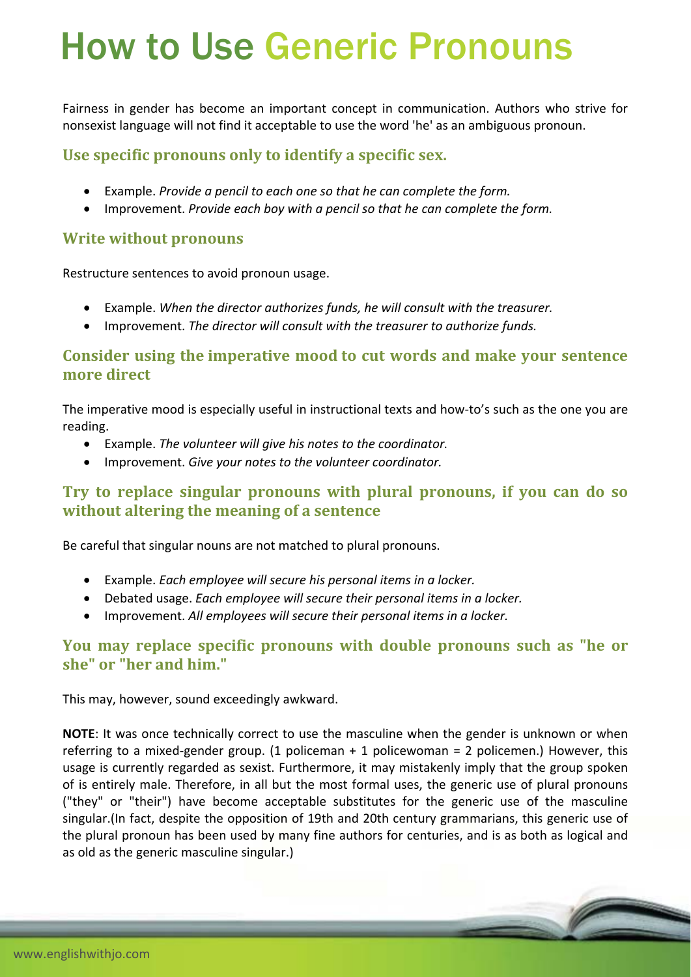# How to Use Generic Pronouns

Fairness in gender has become an important concept in communication. Authors who strive for nonsexist language will not find it acceptable to use the word 'he' as an ambiguous pronoun.

## **Use specific pronouns only to identify a specific sex.**

- Example. *Provide a pencil to each one so that he can complete the form.*
- Improvement. *Provide each boy with a pencil so that he can complete the form.*

## **Write without pronouns**

Restructure sentences to avoid pronoun usage.

- Example. *When the director authorizes funds, he will consult with the treasurer.*
- Improvement. *The director will consult with the treasurer to authorize funds.*

## **Consider using the imperative mood to cut words and make your sentence more direct**

The imperative mood is especially useful in instructional texts and how-to's such as the one you are reading.

- Example. *The volunteer will give his notes to the coordinator.*
- Improvement. *Give your notes to the volunteer coordinator.*

## **Try to replace singular pronouns with plural pronouns, if you can do so without altering the meaning of a sentence**

Be careful that singular nouns are not matched to plural pronouns.

- Example. *Each employee will secure his personal items in a locker.*
- Debated usage. *Each employee will secure their personal items in a locker.*
- Improvement. *All employees will secure their personal items in a locker.*

## **You may replace specific pronouns with double pronouns such as "he or she" or "her and him."**

This may, however, sound exceedingly awkward.

**NOTE**: It was once technically correct to use the masculine when the gender is unknown or when referring to a mixed-gender group. (1 policeman  $+$  1 policewoman = 2 policemen.) However, this usage is currently regarded as sexist. Furthermore, it may mistakenly imply that the group spoken of is entirely male. Therefore, in all but the most formal uses, the generic use of plural pronouns ("they" or "their") have become acceptable substitutes for the generic use of the masculine singular.(In fact, despite the opposition of 19th and 20th century grammarians, this generic use of the plural pronoun has been used by many fine authors for centuries, and is as both as logical and as old as the generic masculine singular.)